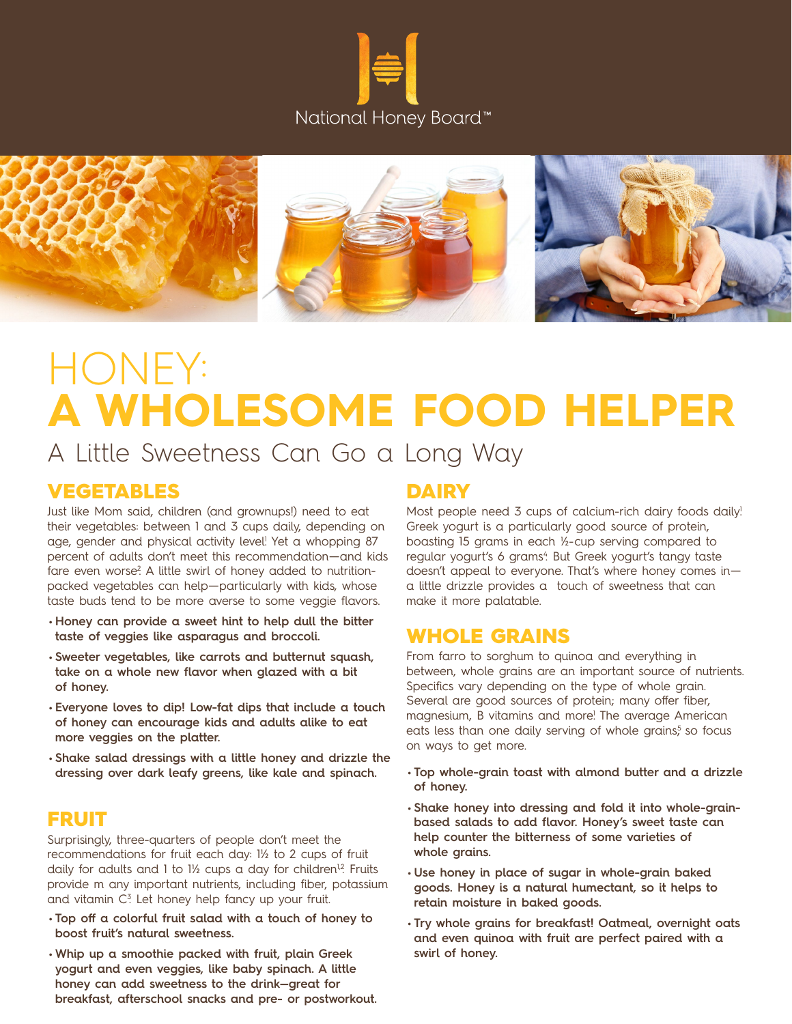



# HONEY: **A WHOLESOME FOOD HELPER**

A Little Sweetness Can Go a Long Way

#### VEGETABLES

Just like Mom said, children (and grownups!) need to eat their vegetables: between 1 and 3 cups daily, depending on age, gender and physical activity level! Yet a whopping 87 percent of adults don't meet this recommendation—and kids fare even worse? A little swirl of honey added to nutritionpacked vegetables can help—particularly with kids, whose taste buds tend to be more averse to some veggie flavors.

- **Honey can provide a sweet hint to help dull the bitter taste of veggies like asparagus and broccoli.**
- **Sweeter vegetables, like carrots and butternut squash, take on a whole new flavor when glazed with a bit of honey.**
- **Everyone loves to dip! Low-fat dips that include a touch of honey can encourage kids and adults alike to eat more veggies on the platter.**
- **Shake salad dressings with a little honey and drizzle the dressing over dark leafy greens, like kale and spinach.**

#### FRUIT

Surprisingly, three-quarters of people don't meet the recommendations for fruit each day: 1½ to 2 cups of fruit daily for adults and 1 to  $1\frac{1}{2}$  cups a day for children<sup>12</sup>. Fruits provide m any important nutrients, including fiber, potassium and vitamin C<sup>3</sup>. Let honey help fancy up your fruit.

- **Top off a colorful fruit salad with a touch of honey to boost fruit's natural sweetness.**
- **Whip up a smoothie packed with fruit, plain Greek yogurt and even veggies, like baby spinach. A little honey can add sweetness to the drink—great for breakfast, afterschool snacks and pre- or postworkout.**

#### **DAIRY**

Most people need 3 cups of calcium-rich dairy foods daily! Greek yogurt is a particularly good source of protein, boasting 15 grams in each ½-cup serving compared to regular yogurt's 6 grams4. But Greek yogurt's tangy taste doesn't appeal to everyone. That's where honey comes in a little drizzle provides a touch of sweetness that can make it more palatable.

#### WHOLE GRAINS

From farro to sorghum to quinoa and everything in between, whole grains are an important source of nutrients. Specifics vary depending on the type of whole grain. Several are good sources of protein; many offer fiber, magnesium, B vitamins and more! The average American eats less than one daily serving of whole grains<sup>5</sup> so focus on ways to get more.

- **Top whole-grain toast with almond butter and a drizzle of honey.**
- **Shake honey into dressing and fold it into whole-grainbased salads to add flavor. Honey's sweet taste can help counter the bitterness of some varieties of whole grains.**
- **Use honey in place of sugar in whole-grain baked goods. Honey is a natural humectant, so it helps to retain moisture in baked goods.**
- **Try whole grains for breakfast! Oatmeal, overnight oats and even quinoa with fruit are perfect paired with a swirl of honey.**